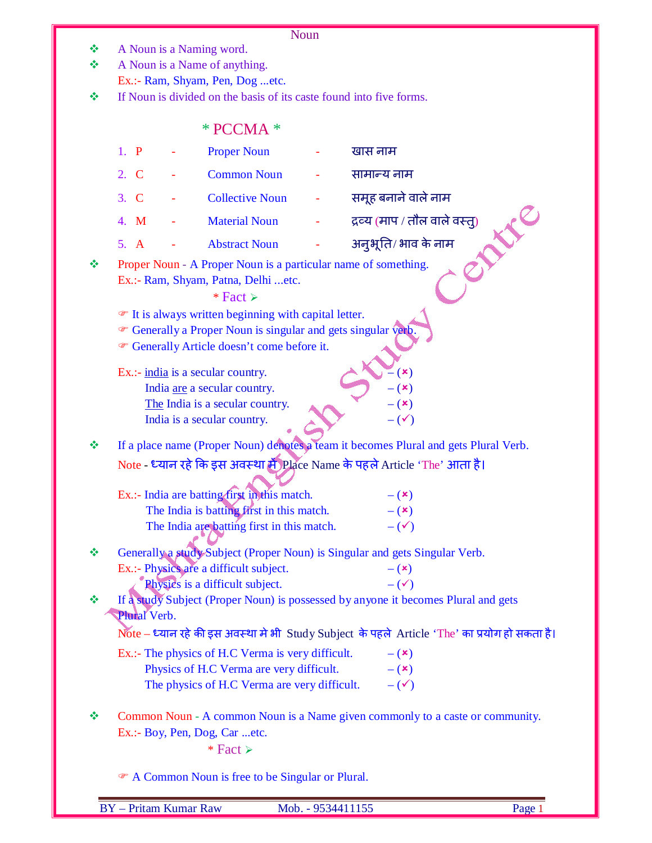- $\triangleleft$  A Noun is a Naming word.
- A Noun is a Name of anything.

Ex.:- Ram, Shyam, Pen, Dog ...etc.

 $\div$  If Noun is divided on the basis of its caste found into five forms.

| $*$ PCCMA $*$ |  |
|---------------|--|
|               |  |

|   | 1. P         | <b>Proper Noun</b>                                                                                                                                                                                                                                         | खास नाम                                                                                       |
|---|--------------|------------------------------------------------------------------------------------------------------------------------------------------------------------------------------------------------------------------------------------------------------------|-----------------------------------------------------------------------------------------------|
|   | 2. C         | <b>Common Noun</b>                                                                                                                                                                                                                                         | सामान्य नाम                                                                                   |
|   | 3. C         | <b>Collective Noun</b>                                                                                                                                                                                                                                     | समूह बनाने वाले नाम                                                                           |
|   | 4. M         | <b>Material Noun</b>                                                                                                                                                                                                                                       | द्रव्य (माप / तौल वाले वस्त्)                                                                 |
|   | 5. A         | <b>Abstract Noun</b>                                                                                                                                                                                                                                       | अनुभूति/ भाव के नाम                                                                           |
| 怪 |              | Proper Noun - A Proper Noun is a particular name of something.<br>Ex.:- Ram, Shyam, Patna, Delhi etc.<br>* Fact $\ge$<br>• It is always written beginning with capital letter.<br><sup>T</sup> Generally a Proper Noun is singular and gets singular verb. |                                                                                               |
|   |              | <sup>®</sup> Generally Article doesn't come before it.                                                                                                                                                                                                     |                                                                                               |
|   |              | Ex.:- india is a secular country.                                                                                                                                                                                                                          | $(\mathbf{x})$                                                                                |
|   |              | India are a secular country.                                                                                                                                                                                                                               | (x)                                                                                           |
|   |              | The India is a secular country.                                                                                                                                                                                                                            | $ (x)$                                                                                        |
|   |              | India is a secular country.                                                                                                                                                                                                                                | $-(\checkmark)$                                                                               |
| ൟ |              |                                                                                                                                                                                                                                                            | If a place name (Proper Noun) denotes a team it becomes Plural and gets Plural Verb.          |
|   |              |                                                                                                                                                                                                                                                            | Note - ध्यान रहे कि इस अवस्था में Place Name के पहले Article 'The' आता है।                    |
|   |              |                                                                                                                                                                                                                                                            |                                                                                               |
|   |              | Ex.:- India are batting first in this match.                                                                                                                                                                                                               | $ (x)$                                                                                        |
|   |              | The India is batting first in this match.                                                                                                                                                                                                                  | $-$ ( $\mathbf{x})$                                                                           |
|   |              | The India are batting first in this match.                                                                                                                                                                                                                 | $-(\checkmark)$                                                                               |
| ❖ |              |                                                                                                                                                                                                                                                            | Generally a study Subject (Proper Noun) is Singular and gets Singular Verb.                   |
|   |              | Ex.:- Physics are a difficult subject.                                                                                                                                                                                                                     | $ (x)$                                                                                        |
|   |              | Physics is a difficult subject.                                                                                                                                                                                                                            | $-(\checkmark)$                                                                               |
| ❖ | Plural Verb. |                                                                                                                                                                                                                                                            | If a study Subject (Proper Noun) is possessed by anyone it becomes Plural and gets            |
|   |              |                                                                                                                                                                                                                                                            | Note – ध्यान रहे की इस अवस्था मे भी Study Subject के पहले Article 'The' का प्रयोग हो सकता है। |
|   |              | Ex.:- The physics of H.C Verma is very difficult.                                                                                                                                                                                                          | $-$ ( $\mathbf{x}$ )                                                                          |
|   |              | Physics of H.C Verma are very difficult.                                                                                                                                                                                                                   | $ (x)$                                                                                        |
|   |              | The physics of H.C Verma are very difficult.                                                                                                                                                                                                               | $-(\checkmark)$                                                                               |
| ❖ |              | Ex.:- Boy, Pen, Dog, Car etc.<br>$*$ Fact ≻                                                                                                                                                                                                                | Common Noun - A common Noun is a Name given commonly to a caste or community.                 |
|   |              | A Common Noun is free to be Singular or Plural.                                                                                                                                                                                                            |                                                                                               |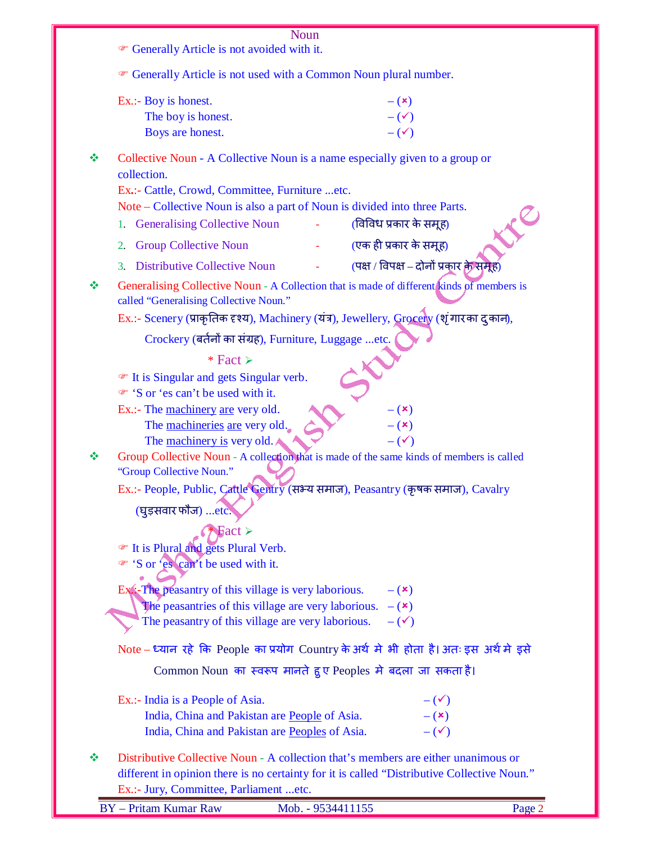|   | Noun                                                                                                                                          |  |
|---|-----------------------------------------------------------------------------------------------------------------------------------------------|--|
|   | <sup>®</sup> Generally Article is not avoided with it.                                                                                        |  |
|   | • Generally Article is not used with a Common Noun plural number.                                                                             |  |
|   | Ex.:- Boy is honest.<br>$- (x)$                                                                                                               |  |
|   | $-(\checkmark)$<br>The boy is honest.                                                                                                         |  |
|   | $-(\checkmark)$<br>Boys are honest.                                                                                                           |  |
| ❖ | Collective Noun - A Collective Noun is a name especially given to a group or<br>collection.<br>Ex.:- Cattle, Crowd, Committee, Furniture etc. |  |
|   | Note – Collective Noun is also a part of Noun is divided into three Parts.                                                                    |  |
|   | (विविध प्रकार के समूह)<br><b>Generalising Collective Noun</b><br>1.                                                                           |  |
|   | (एक ही प्रकार के समूह)<br><b>Group Collective Noun</b><br>2.                                                                                  |  |
|   | (पक्ष / विपक्ष – दोनों प्रकार के समूह)<br><b>Distributive Collective Noun</b><br>3.                                                           |  |
| ❖ | Generalising Collective Noun - A Collection that is made of different kinds of members is<br>called "Generalising Collective Noun."           |  |
|   | Ex.:- Scenery (प्राकृतिक दृश्य), Machinery (यंत्र), Jewellery, Grocery (शृंगारका दुकान),                                                      |  |
|   | Crockery (बर्तनों का संग्रह), Furniture, Luggage etc.                                                                                         |  |
|   | * Fact $\ge$                                                                                                                                  |  |
|   | The It is Singular and gets Singular verb.                                                                                                    |  |
|   | ⊕ 'S or 'es can't be used with it.<br>Ex.:- The machinery are very old.<br>$ (x)$                                                             |  |
|   | The machineries are very old.<br>$ (x)$                                                                                                       |  |
|   | The machinery is very old.<br>$-(\checkmark)$                                                                                                 |  |
| ❖ | Group Collective Noun - A collection that is made of the same kinds of members is called                                                      |  |
|   | "Group Collective Noun."<br>Ex.:- People, Public, Cattle Gentry (सभ्य समाज), Peasantry (कृषक समाज), Cavalry                                   |  |
|   | (घुड़सवार फौज) etc.                                                                                                                           |  |
|   | $\blacktriangleright$ Fact $\blacktriangleright$                                                                                              |  |
|   | The It is Plural and gets Plural Verb.                                                                                                        |  |
|   | • 'S or 'es can't be used with it.                                                                                                            |  |
|   | Ex:-The peasantry of this village is very laborious.<br>$ (x)$                                                                                |  |
|   | The peasantries of this village are very laborious. $-(x)$                                                                                    |  |
|   | The peasantry of this village are very laborious.<br>$-(\checkmark)$                                                                          |  |
|   | Note – ध्यान रहे कि People का प्रयोग Country के अर्थ मे भी होता है। अतः इस अर्थ मे इसे                                                        |  |
|   | Common Noun का स्वरूप मानते हुए Peoples मे बदला जा सकता है।                                                                                   |  |
|   | Ex.:- India is a People of Asia.<br>$-(\checkmark)$                                                                                           |  |
|   | India, China and Pakistan are People of Asia.<br>$-$ ( $\mathbf{x})$                                                                          |  |
|   | $-(\checkmark)$<br>India, China and Pakistan are Peoples of Asia.                                                                             |  |
| ❖ | Distributive Collective Noun - A collection that's members are either unanimous or                                                            |  |
|   | different in opinion there is no certainty for it is called "Distributive Collective Noun."                                                   |  |
|   | Ex.:- Jury, Committee, Parliament etc.                                                                                                        |  |
|   | <b>BY</b> - Pritam Kumar Raw<br>Page 2<br>Mob. - 9534411155                                                                                   |  |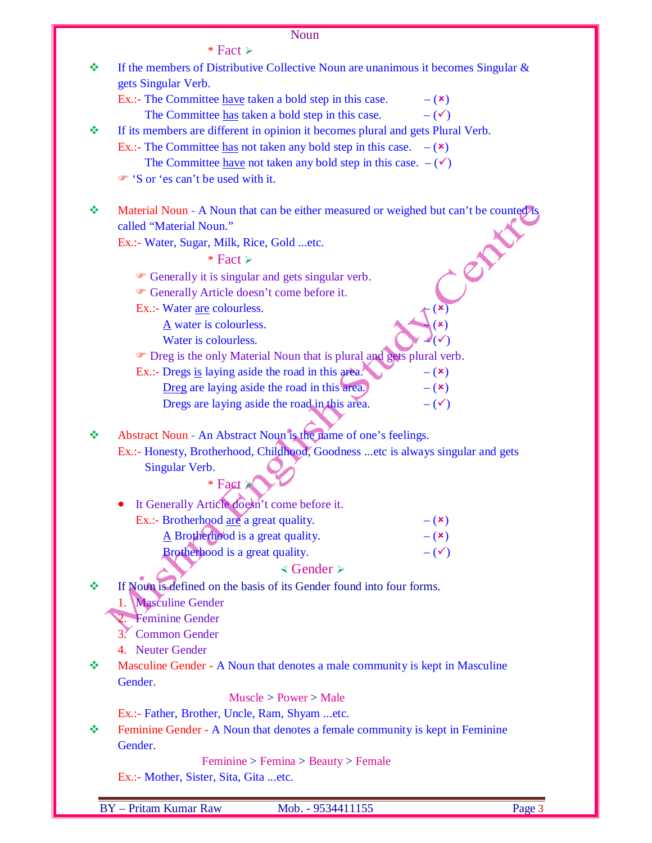$*$  Fact  $\triangleright$ 

|   | ″ raci <i>r</i>                                                                       |
|---|---------------------------------------------------------------------------------------|
| ❖ | If the members of Distributive Collective Noun are unanimous it becomes Singular $\&$ |
|   | gets Singular Verb.                                                                   |
|   | Ex.:- The Committee <u>have</u> taken a bold step in this case.<br>$ (x)$             |
|   | The Committee has taken a bold step in this case.<br>$-(\checkmark)$                  |
| ❖ | If its members are different in opinion it becomes plural and gets Plural Verb.       |
|   | Ex.:- The Committee has not taken any bold step in this case. $-(\star)$              |
|   | The Committee <u>have</u> not taken any bold step in this case. $-(\checkmark)$       |
|   | • 'S or 'es can't be used with it.                                                    |
|   |                                                                                       |
| ❖ | Material Noun - A Noun that can be either measured or weighed but can't be counted is |
|   | called "Material Noun."                                                               |
|   | Ex.:- Water, Sugar, Milk, Rice, Gold etc.                                             |
|   | * Fact $\ge$                                                                          |
|   | <sup>o</sup> Generally it is singular and gets singular verb.                         |
|   | <sup>®</sup> Generally Article doesn't come before it.                                |
|   | Ex.:- Water are colourless.                                                           |
|   | $\underline{A}$ water is colourless.                                                  |
|   | Water is colourless.                                                                  |
|   | The Dreg is the only Material Noun that is plural and gets plural verb.               |
|   | Ex.:- Dregs is laying aside the road in this area."<br>$-$ ( $\mathbf{x})$            |
|   | Dreg are laying aside the road in this area.)<br>$-$ ( $\mathbf{x})$                  |
|   | Dregs are laying aside the road in this area.<br>$-(\checkmark)$                      |
|   |                                                                                       |
| ❖ | Abstract Noun - An Abstract Noun is the name of one's feelings.                       |
|   | Ex.:- Honesty, Brotherhood, Childhood, Goodness etc is always singular and gets       |
|   | Singular Verb.                                                                        |
|   | * Fact >                                                                              |
|   | It Generally Article doesn't come before it.                                          |
|   | Ex.:- Brotherhood are a great quality.<br>$-$ ( $\mathbf{x})$                         |
|   | $\underline{A}$ Brotherhood is a great quality.                                       |
|   | $-({\bf x})$<br>$-(\checkmark)$<br>Brotherhood is a great quality.                    |
|   | $\triangleleft$ Gender $\succ$                                                        |
|   |                                                                                       |
| ❖ | If Noun is defined on the basis of its Gender found into four forms.                  |
|   | <b>Masculine Gender</b><br>1.                                                         |
|   | Féminine Gender<br>2.                                                                 |
|   | <b>Common Gender</b><br>4. Neuter Gender                                              |
|   |                                                                                       |
|   | Masculine Gender - A Noun that denotes a male community is kept in Masculine          |
|   | Gender.                                                                               |
|   | Muscle > Power > Male                                                                 |
|   | Ex.:- Father, Brother, Uncle, Ram, Shyam etc.                                         |
| ❖ | Feminine Gender - A Noun that denotes a female community is kept in Feminine          |
|   | Gender.                                                                               |
|   | Feminine > Femina > Beauty > Female                                                   |
|   | Ex.:- Mother, Sister, Sita, Gita  etc.                                                |

E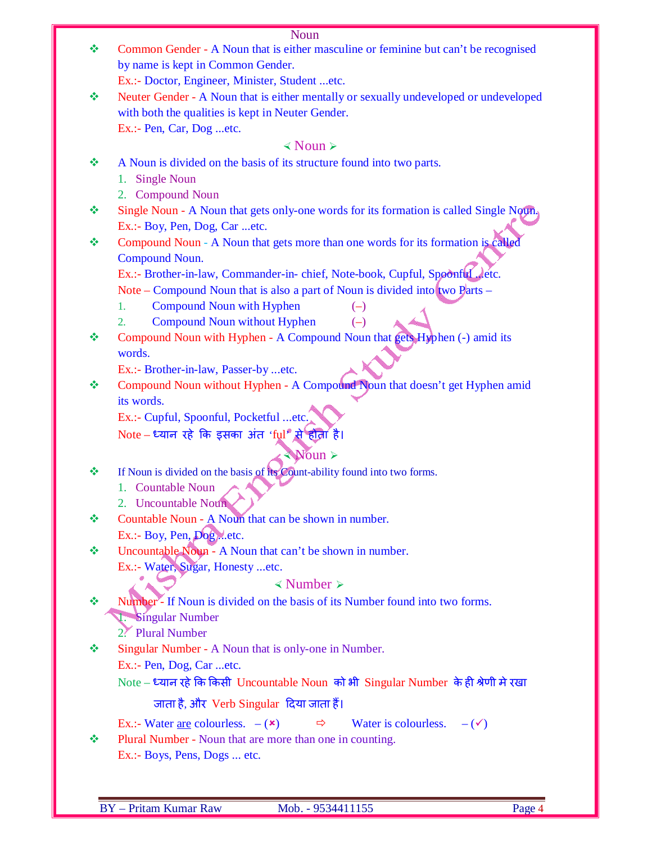| . |
|---|

| ❖ | Common Gender - A Noun that is either masculine or feminine but can't be recognised                    |
|---|--------------------------------------------------------------------------------------------------------|
|   | by name is kept in Common Gender.                                                                      |
|   | Ex.:- Doctor, Engineer, Minister, Student etc.                                                         |
| ❖ | Neuter Gender - A Noun that is either mentally or sexually undeveloped or undeveloped                  |
|   | with both the qualities is kept in Neuter Gender.                                                      |
|   | Ex.:- Pen, Car, Dog etc.                                                                               |
|   | $\triangle$ Noun $\triangleright$                                                                      |
| ❖ | A Noun is divided on the basis of its structure found into two parts.                                  |
|   | <b>Single Noun</b><br>1.                                                                               |
|   | 2. Compound Noun                                                                                       |
| ❖ | Single Noun - A Noun that gets only-one words for its formation is called Single Noun.                 |
|   | Ex.:- Boy, Pen, Dog, Car etc.                                                                          |
| ❖ | Compound Noun - A Noun that gets more than one words for its formation is called                       |
|   | Compound Noun.                                                                                         |
|   | Ex.:- Brother-in-law, Commander-in-chief, Note-book, Cupful, Spoonful, letc.                           |
|   | Note – Compound Noun that is also a part of Noun is divided into two Parts –                           |
|   | <b>Compound Noun with Hyphen</b><br>1.<br>$(-)$                                                        |
|   | <b>Compound Noun without Hyphen</b><br>$(-)$<br>2.                                                     |
| ❖ | Compound Noun with Hyphen - A Compound Noun that gets Hyphen (-) amid its                              |
|   | words.                                                                                                 |
|   | Ex.:- Brother-in-law, Passer-by etc.                                                                   |
| ❖ | Compound Noun without Hyphen - A Compound Noun that doesn't get Hyphen amid                            |
|   | its words.                                                                                             |
|   | Ex.:- Cupful, Spoonful, Pocketful etc.                                                                 |
|   | Note - ध्यान रहे कि इसका अंत 'ful' से होता है।                                                         |
|   | Noun ≻®                                                                                                |
| ❖ | If Noun is divided on the basis of its Count-ability found into two forms.                             |
|   | <b>Countable Noun</b>                                                                                  |
|   | 1.<br>2. Uncountable Noun                                                                              |
| 豪 | Countable Noun - A Noun that can be shown in number.                                                   |
|   | Ex.:- Boy, Pen, Dogetc.                                                                                |
| ❖ | Uncountable Noun - A Noun that can't be shown in number.                                               |
|   | Ex.:- Water, Sugar, Honesty etc.                                                                       |
|   | $\triangle$ Number $\triangleright$                                                                    |
|   |                                                                                                        |
| ❖ | Number- If Noun is divided on the basis of its Number found into two forms.                            |
|   | Singular Number                                                                                        |
|   | 2. Plural Number                                                                                       |
| ❖ | Singular Number - A Noun that is only-one in Number.                                                   |
|   | Ex.:- Pen, Dog, Caretc.                                                                                |
|   | Note – ध्यान रहे कि किसी Uncountable Noun को भी Singular Number के ही श्रेणी मे रखा                    |
|   | जाता है, और Verb Singular दिया जाता हैं।                                                               |
|   | Ex.:- Water <u>are</u> colourless. $-(\star)$<br>Water is colourless. $-(\checkmark)$<br>$\Rightarrow$ |
| ❖ | Plural Number - Noun that are more than one in counting.                                               |
|   | Ex.:- Boys, Pens, Dogs  etc.                                                                           |
|   |                                                                                                        |
|   |                                                                                                        |

E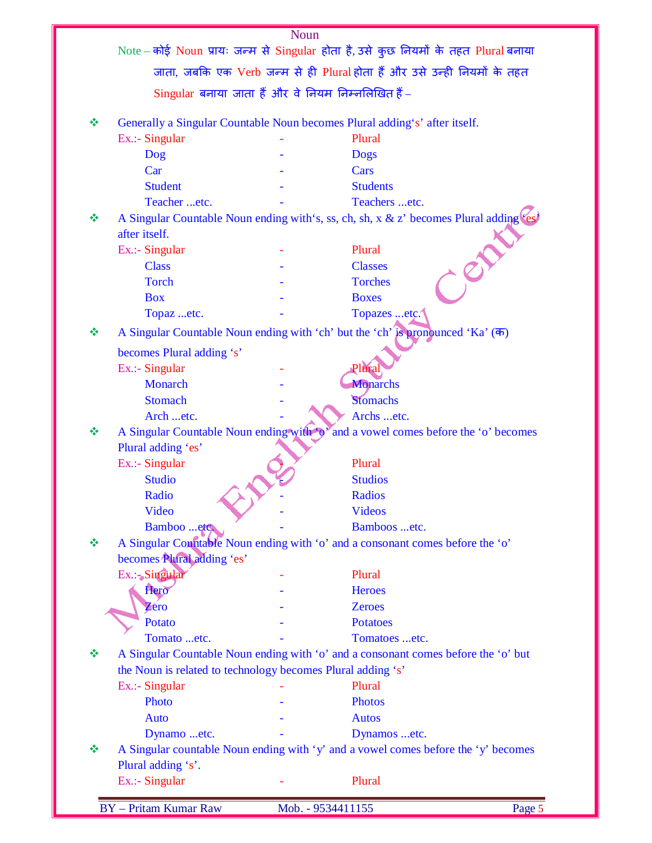|   |                                                             | Noun |                                                                                        |        |
|---|-------------------------------------------------------------|------|----------------------------------------------------------------------------------------|--------|
|   |                                                             |      | Note – कोई Noun प्रायः जन्म से Singular होता है, उसे कुछ नियमों के तहत Plural बनाया    |        |
|   |                                                             |      | जाता, जबकि एक Verb जन्म से ही Plural होता हैं और उसे उन्ही नियमों के तहत               |        |
|   | Singular बनाया जाता हैं और वे नियम निम्नलिखित हैं -         |      |                                                                                        |        |
| ❖ |                                                             |      | Generally a Singular Countable Noun becomes Plural adding's' after itself.             |        |
|   | Ex.:- Singular                                              |      | Plural                                                                                 |        |
|   | Dog                                                         |      | <b>Dogs</b>                                                                            |        |
|   | Car                                                         |      | Cars                                                                                   |        |
|   | <b>Student</b>                                              |      | <b>Students</b>                                                                        |        |
|   | Teacher etc.                                                |      | Teachers etc.                                                                          |        |
| ❖ | after itself.                                               |      | A Singular Countable Noun ending with's, ss, ch, sh, x & z' becomes Plural adding (es) |        |
|   | Ex.:- Singular                                              |      | Plural                                                                                 |        |
|   | <b>Class</b>                                                |      | <b>Classes</b>                                                                         |        |
|   | <b>Torch</b>                                                |      | <b>Torches</b>                                                                         |        |
|   | <b>Box</b>                                                  |      | <b>Boxes</b>                                                                           |        |
|   | Topaz etc.                                                  |      | Topazes etc.                                                                           |        |
| ❖ |                                                             |      | A Singular Countable Noun ending with 'ch' but the 'ch' is pronounced 'Ka' (क)         |        |
|   | becomes Plural adding 's'                                   |      |                                                                                        |        |
|   | Ex.:- Singular                                              |      | Plura                                                                                  |        |
|   | Monarch                                                     |      | <b>Monarchs</b>                                                                        |        |
|   | <b>Stomach</b>                                              |      | Stomachs                                                                               |        |
|   | Arch etc.                                                   |      | Archs etc.                                                                             |        |
| ❖ | A Singular Countable Noun ending with                       |      | and a vowel comes before the 'o' becomes                                               |        |
|   | Plural adding 'es'                                          |      |                                                                                        |        |
|   | Ex.:- Singular                                              |      | Plural                                                                                 |        |
|   | <b>Studio</b>                                               |      | <b>Studios</b>                                                                         |        |
|   | Radio                                                       |      | <b>Radios</b>                                                                          |        |
|   | Video                                                       |      | <b>Videos</b>                                                                          |        |
|   | Bamboo etc.                                                 |      | Bamboos etc.                                                                           |        |
| ❖ | becomes Plural adding 'es'                                  |      | A Singular Countable Noun ending with 'o' and a consonant comes before the 'o'         |        |
|   | Ex.: Singular                                               |      | Plural                                                                                 |        |
|   | Hero                                                        |      | <b>Heroes</b>                                                                          |        |
|   | Zero                                                        |      | <b>Zeroes</b>                                                                          |        |
|   | Potato                                                      |      | <b>Potatoes</b>                                                                        |        |
|   | Tomato etc.                                                 |      | Tomatoes etc.                                                                          |        |
| ❖ |                                                             |      | A Singular Countable Noun ending with 'o' and a consonant comes before the 'o' but     |        |
|   | the Noun is related to technology becomes Plural adding 's' |      |                                                                                        |        |
|   | Ex.:- Singular                                              |      | Plural                                                                                 |        |
|   | Photo                                                       |      | <b>Photos</b>                                                                          |        |
|   | <b>Auto</b>                                                 |      | <b>Autos</b>                                                                           |        |
|   | Dynamo etc.                                                 |      | Dynamos etc.                                                                           |        |
| ❖ |                                                             |      | A Singular countable Noun ending with 'y' and a vowel comes before the 'y' becomes     |        |
|   | Plural adding 's'.                                          |      |                                                                                        |        |
|   | Ex.:- Singular                                              |      | Plural                                                                                 |        |
|   |                                                             |      |                                                                                        |        |
|   | <b>BY</b> - Pritam Kumar Raw                                |      | Mob. - 9534411155                                                                      | Page 5 |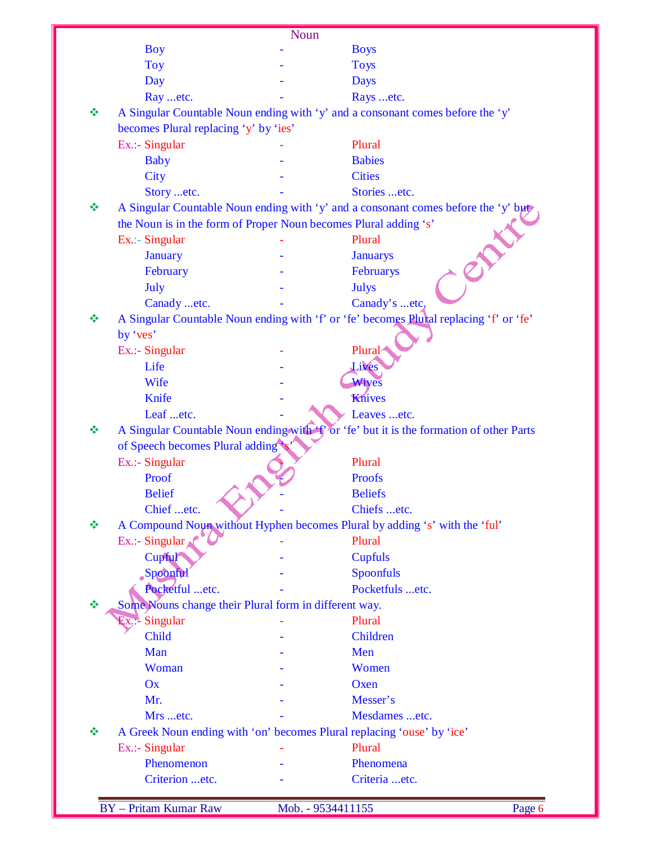|   |                                                                  | Noun |                                                                                        |
|---|------------------------------------------------------------------|------|----------------------------------------------------------------------------------------|
|   | <b>Boy</b>                                                       |      | <b>Boys</b>                                                                            |
|   | <b>Toy</b>                                                       |      | <b>Toys</b>                                                                            |
|   | Day                                                              |      | <b>Days</b>                                                                            |
|   | Ray etc.                                                         |      | Rays etc.                                                                              |
| 豪 |                                                                  |      | A Singular Countable Noun ending with 'y' and a consonant comes before the 'y'         |
|   | becomes Plural replacing 'y' by 'ies'                            |      |                                                                                        |
|   | Ex.:- Singular                                                   |      | Plural                                                                                 |
|   | <b>Baby</b>                                                      |      | <b>Babies</b>                                                                          |
|   | <b>City</b>                                                      |      | <b>Cities</b>                                                                          |
|   | Story etc.                                                       |      | Stories etc.                                                                           |
| 豪 |                                                                  |      | A Singular Countable Noun ending with 'y' and a consonant comes before the 'y' but     |
|   | the Noun is in the form of Proper Noun becomes Plural adding 's' |      |                                                                                        |
|   | Ex.:- Singular                                                   |      | Plural                                                                                 |
|   | <b>January</b>                                                   |      | <b>Januarys</b>                                                                        |
|   | February                                                         |      | Februarys                                                                              |
|   | July                                                             |      | <b>Julys</b>                                                                           |
|   | Canady etc.                                                      |      | Canady's etc,                                                                          |
| 豪 |                                                                  |      | A Singular Countable Noun ending with 'f' or 'fe' becomes Plural replacing 'f' or 'fe' |
|   | by 'ves'                                                         |      |                                                                                        |
|   | Ex.:- Singular                                                   |      | Plural                                                                                 |
|   | Life                                                             |      | Lives                                                                                  |
|   | Wife                                                             |      | Wives                                                                                  |
|   | Knife                                                            |      | Knives                                                                                 |
|   | Leaf etc.                                                        |      | Leaves etc.                                                                            |
|   |                                                                  |      | A Singular Countable Noun ending with T or 'fe' but it is the formation of other Parts |
|   | of Speech becomes Plural adding                                  |      |                                                                                        |
|   | Ex.:- Singular                                                   |      | Plural                                                                                 |
|   | Proof                                                            |      | <b>Proofs</b>                                                                          |
|   | <b>Belief</b>                                                    |      | <b>Beliefs</b>                                                                         |
|   | Chief etc.                                                       |      | Chiefs etc.                                                                            |
|   |                                                                  |      | A Compound Noun without Hyphen becomes Plural by adding 's' with the 'ful'             |
|   | Ex.:- Singular $\triangle$                                       |      | Plural                                                                                 |
|   | Cupful                                                           |      | <b>Cupfuls</b>                                                                         |
|   | Spoonful                                                         |      | Spoonfuls                                                                              |
|   | Pocketful etc.                                                   |      | Pocketfuls etc.                                                                        |
|   | Some Nouns change their Plural form in different way.            |      |                                                                                        |
|   | $\exists x \rightarrow$ Singular                                 |      | Plural                                                                                 |
|   | Child                                                            |      | Children                                                                               |
|   | Man                                                              |      | Men                                                                                    |
|   | Woman                                                            |      | Women                                                                                  |
|   | Ox                                                               |      | Oxen                                                                                   |
|   | Mr.                                                              |      | Messer's                                                                               |
|   | Mrs etc.                                                         |      | Mesdames etc.                                                                          |
| 豪 |                                                                  |      | A Greek Noun ending with 'on' becomes Plural replacing 'ouse' by 'ice'                 |
|   | Ex.:- Singular                                                   |      | Plural                                                                                 |
|   | Phenomenon                                                       |      | Phenomena                                                                              |
|   |                                                                  |      | Criteria etc.                                                                          |
|   |                                                                  |      |                                                                                        |
|   | Criterion etc.                                                   |      |                                                                                        |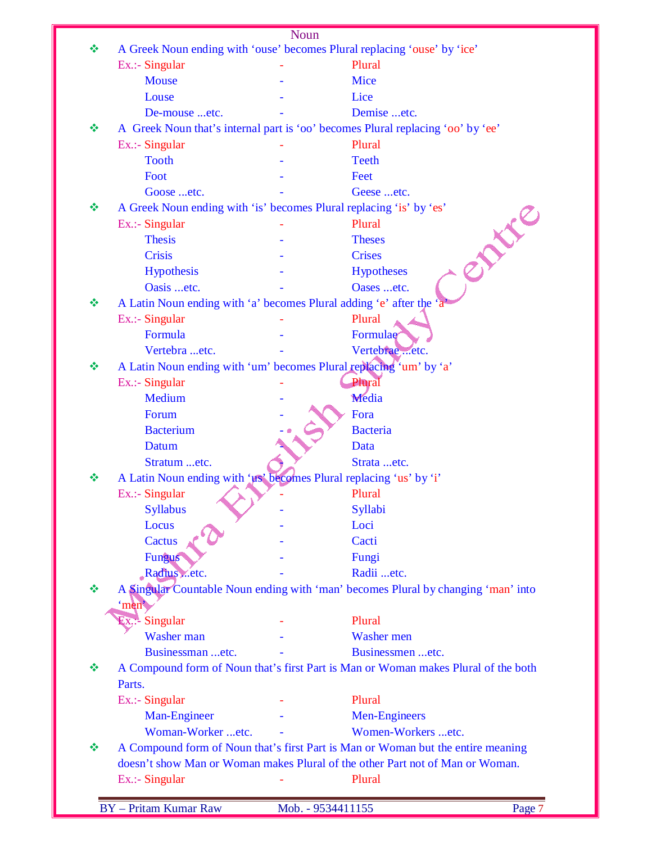|   |                                                                      | Noun |                                                                                    |
|---|----------------------------------------------------------------------|------|------------------------------------------------------------------------------------|
| 豪 |                                                                      |      | A Greek Noun ending with 'ouse' becomes Plural replacing 'ouse' by 'ice'           |
|   | Ex.:- Singular                                                       |      | Plural                                                                             |
|   | <b>Mouse</b>                                                         |      | Mice                                                                               |
|   | Louse                                                                |      | Lice                                                                               |
|   | De-mouse etc.                                                        |      | Demise etc.                                                                        |
| ❖ |                                                                      |      | A Greek Noun that's internal part is 'oo' becomes Plural replacing 'oo' by 'ee'    |
|   | Ex.:- Singular                                                       |      | Plural                                                                             |
|   | <b>Tooth</b>                                                         |      | <b>Teeth</b>                                                                       |
|   | Foot                                                                 |      | Feet                                                                               |
|   | Goose etc.                                                           |      | Geese etc.                                                                         |
| ❖ | A Greek Noun ending with 'is' becomes Plural replacing 'is' by 'es'  |      |                                                                                    |
|   | Ex.:- Singular                                                       |      | <b>PAUL</b><br>Plural                                                              |
|   | <b>Thesis</b>                                                        |      | <b>Theses</b>                                                                      |
|   | <b>Crisis</b>                                                        |      | <b>Crises</b>                                                                      |
|   | Hypothesis                                                           |      | <b>Hypotheses</b>                                                                  |
|   | Oasis etc.                                                           |      | Oases etc.                                                                         |
| 豪 | A Latin Noun ending with 'a' becomes Plural adding 'e' after the 'a' |      |                                                                                    |
|   | Ex.:- Singular                                                       |      | Plural                                                                             |
|   | Formula                                                              |      | Formulae                                                                           |
|   | Vertebra etc.                                                        |      | Vertebrae etc.                                                                     |
| ❖ |                                                                      |      | A Latin Noun ending with 'um' becomes Plural replacing 'um' by 'a'                 |
|   | Ex.:- Singular                                                       |      | Plural                                                                             |
|   | Medium                                                               |      | Media                                                                              |
|   | Forum                                                                |      | Fora                                                                               |
|   | <b>Bacterium</b>                                                     |      | <b>Bacteria</b>                                                                    |
|   | Datum                                                                |      | Data                                                                               |
|   | Stratum etc.                                                         |      | Strata etc.                                                                        |
| ❖ | A Latin Noun ending with 'us' becomes Plural replacing 'us' by 'i'   |      |                                                                                    |
|   | Ex.:- Singular                                                       |      | Plural                                                                             |
|   | <b>Syllabus</b>                                                      |      | Syllabi                                                                            |
|   | Locus                                                                |      | Loci                                                                               |
|   | Cactus                                                               |      | Cacti                                                                              |
|   | Fungus                                                               |      | Fungi                                                                              |
|   | Radius etc.                                                          |      | Radii etc.                                                                         |
| ❖ |                                                                      |      | A Singular Countable Noun ending with 'man' becomes Plural by changing 'man' into  |
|   | 'men                                                                 |      |                                                                                    |
|   | - Singular<br>JX.                                                    |      | Plural                                                                             |
|   | Washer man                                                           |      | Washer men                                                                         |
|   | Businessman etc.                                                     |      | Businessmen etc.                                                                   |
| ❖ |                                                                      |      | A Compound form of Noun that's first Part is Man or Woman makes Plural of the both |
|   | Parts.                                                               |      |                                                                                    |
|   | Ex.:- Singular                                                       |      | Plural                                                                             |
|   | Man-Engineer                                                         |      | <b>Men-Engineers</b>                                                               |
|   | Woman-Worker etc.                                                    |      | Women-Workers etc.                                                                 |
| ❖ |                                                                      |      | A Compound form of Noun that's first Part is Man or Woman but the entire meaning   |
|   |                                                                      |      | doesn't show Man or Woman makes Plural of the other Part not of Man or Woman.      |
|   | Ex.:- Singular                                                       |      | Plural                                                                             |
|   |                                                                      |      |                                                                                    |
|   | <b>BY</b> - Pritam Kumar Raw                                         |      | Page 7<br>Mob. - 9534411155                                                        |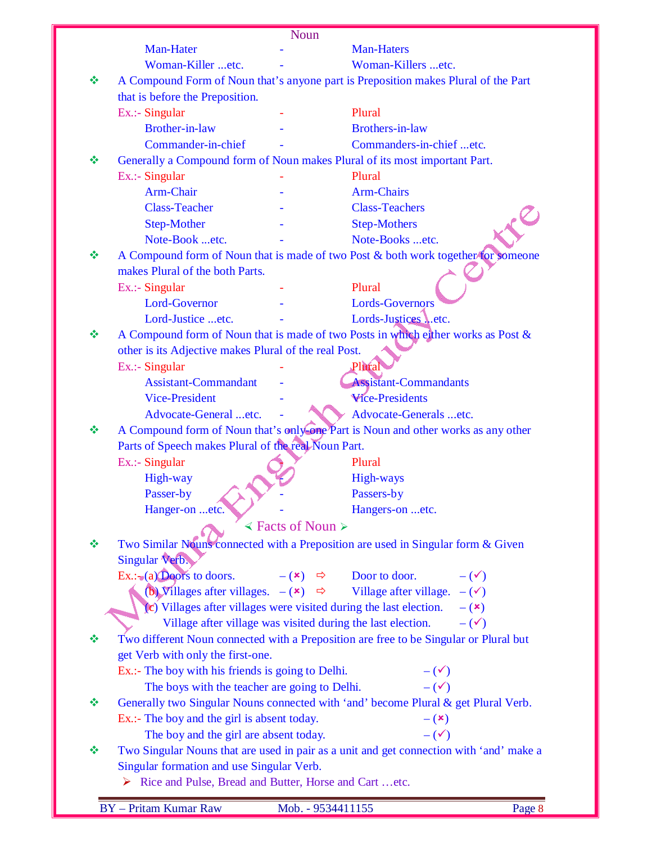|   |                                                                            | Noun                      |                                                                                                 |
|---|----------------------------------------------------------------------------|---------------------------|-------------------------------------------------------------------------------------------------|
|   | Man-Hater                                                                  |                           | <b>Man-Haters</b>                                                                               |
|   | Woman-Killer etc.                                                          |                           | Woman-Killers etc.                                                                              |
| ❖ |                                                                            |                           | A Compound Form of Noun that's anyone part is Preposition makes Plural of the Part              |
|   | that is before the Preposition.                                            |                           |                                                                                                 |
|   | Ex.:- Singular                                                             |                           | Plural                                                                                          |
|   | <b>Brother-in-law</b>                                                      |                           | <b>Brothers-in-law</b>                                                                          |
|   | Commander-in-chief                                                         |                           | Commanders-in-chief etc.                                                                        |
| ❖ | Generally a Compound form of Noun makes Plural of its most important Part. |                           |                                                                                                 |
|   | Ex.:- Singular                                                             |                           | Plural                                                                                          |
|   | <b>Arm-Chair</b>                                                           |                           | <b>Arm-Chairs</b>                                                                               |
|   | <b>Class-Teacher</b>                                                       |                           | <b>Class-Teachers</b>                                                                           |
|   | <b>Step-Mother</b>                                                         |                           | <b>Step-Mothers</b>                                                                             |
|   | Note-Book etc.                                                             |                           | Note-Books etc.                                                                                 |
| ❖ |                                                                            |                           | A Compound form of Noun that is made of two Post & both work together for someone               |
|   | makes Plural of the both Parts.                                            |                           |                                                                                                 |
|   | $Ex.:$ - Singular                                                          |                           | Plural                                                                                          |
|   | Lord-Governor                                                              |                           | <b>Lords-Governors</b>                                                                          |
|   | Lord-Justice etc.                                                          |                           | Lords-Justices Letc.                                                                            |
| ❖ |                                                                            |                           | A Compound form of Noun that is made of two Posts in which either works as Post &               |
|   | other is its Adjective makes Plural of the real Post.                      |                           |                                                                                                 |
|   | Ex.:- Singular                                                             |                           | Plural                                                                                          |
|   | <b>Assistant-Commandant</b>                                                |                           | <b>Assistant-Commandants</b><br><b>Wice-Presidents</b>                                          |
|   | <b>Vice-President</b><br>Advocate-General etc.                             |                           | Advocate-Generals etc.                                                                          |
| ❖ |                                                                            |                           | A Compound form of Noun that's only one Part is Noun and other works as any other               |
|   | Parts of Speech makes Plural of the real Noun Part.                        |                           |                                                                                                 |
|   | Ex.:- Singular                                                             |                           | Plural                                                                                          |
|   | High-way                                                                   |                           | <b>High-ways</b>                                                                                |
|   | Passer-by                                                                  |                           | Passers-by                                                                                      |
|   | Hanger-on etc.                                                             |                           | Hangers-on etc.                                                                                 |
|   |                                                                            | $\le$ Facts of Noun $\ge$ |                                                                                                 |
| ❖ |                                                                            |                           | Two Similar Nouns connected with a Preposition are used in Singular form & Given                |
|   | Singular Verb.                                                             |                           |                                                                                                 |
|   | $Ex.:=(a)$ Doors to doors.                                                 |                           | $-(\star) \Rightarrow$ Door to door.<br>$-(\checkmark)$                                         |
|   |                                                                            |                           | (b) Villages after villages. $-(\mathbf{x}) \Rightarrow$ Village after village. $-(\mathbf{x})$ |
|   | $(c)$ Villages after villages were visited during the last election.       |                           | $ (x)$                                                                                          |
|   | Village after village was visited during the last election.                |                           | $-(\checkmark)$                                                                                 |
| ❖ |                                                                            |                           | Two different Noun connected with a Preposition are free to be Singular or Plural but           |
|   | get Verb with only the first-one.                                          |                           |                                                                                                 |
|   | Ex.:- The boy with his friends is going to Delhi.                          |                           | $-(\checkmark)$                                                                                 |
|   | The boys with the teacher are going to Delhi.                              |                           | $-$ ( $\checkmark$ )                                                                            |
| ❖ |                                                                            |                           | Generally two Singular Nouns connected with 'and' become Plural & get Plural Verb.              |
|   | Ex.:- The boy and the girl is absent today.                                |                           | $-$ ( $\mathbf{x})$                                                                             |
|   | The boy and the girl are absent today.                                     |                           | $-(\checkmark)$                                                                                 |
| ❖ |                                                                            |                           | Two Singular Nouns that are used in pair as a unit and get connection with 'and' make a         |
|   | Singular formation and use Singular Verb.                                  |                           |                                                                                                 |
|   | Rice and Pulse, Bread and Butter, Horse and Cart etc.                      |                           |                                                                                                 |
|   | <b>BY</b> - Pritam Kumar Raw                                               | Mob. - 9534411155         | Page 8                                                                                          |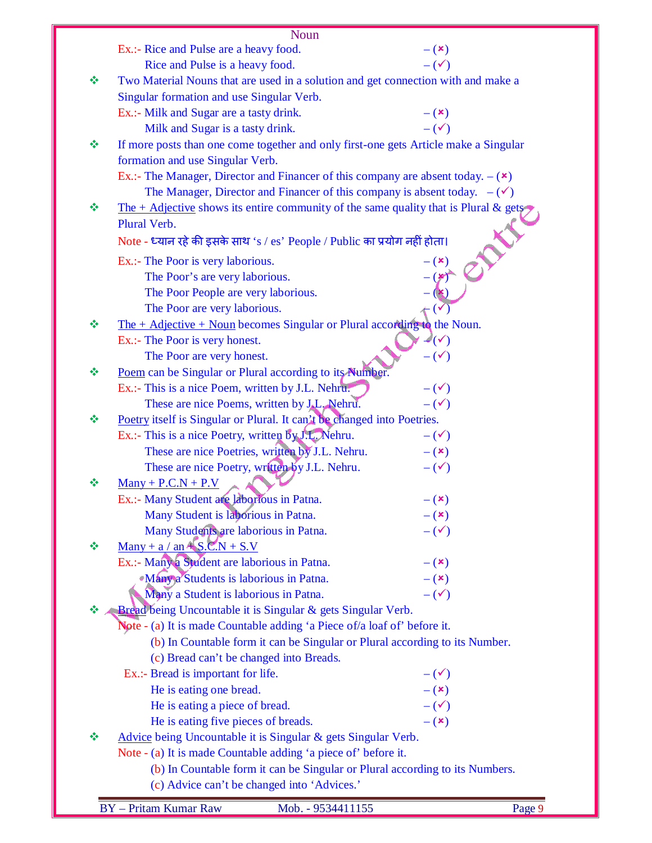|   | <b>Noun</b>                                                                                                              |                            |
|---|--------------------------------------------------------------------------------------------------------------------------|----------------------------|
|   | Ex.:- Rice and Pulse are a heavy food.                                                                                   | $-$ ( $\mathbf{x})$        |
|   | Rice and Pulse is a heavy food.                                                                                          | $-(\checkmark)$            |
| ❖ | Two Material Nouns that are used in a solution and get connection with and make a                                        |                            |
|   | Singular formation and use Singular Verb.                                                                                |                            |
|   | Ex.:- Milk and Sugar are a tasty drink.                                                                                  | $-({\bf x})$               |
|   | Milk and Sugar is a tasty drink.                                                                                         | $-(\checkmark)$            |
| ❖ |                                                                                                                          |                            |
|   | If more posts than one come together and only first-one gets Article make a Singular<br>formation and use Singular Verb. |                            |
|   |                                                                                                                          |                            |
|   | Ex.:- The Manager, Director and Financer of this company are absent today. $-(\star)$                                    |                            |
|   | The Manager, Director and Financer of this company is absent today. $-(\checkmark)$                                      |                            |
| ❖ | The + Adjective shows its entire community of the same quality that is Plural & gets                                     |                            |
|   | Plural Verb.                                                                                                             |                            |
|   | Note - ध्यान रहे की इसके साथ 's / es' People / Public का प्रयोग नहीं होता।                                               |                            |
|   | Ex.:- The Poor is very laborious.                                                                                        | $- (x)$                    |
|   | The Poor's are very laborious.                                                                                           | $(*)$                      |
|   | The Poor People are very laborious.                                                                                      |                            |
|   | The Poor are very laborious.                                                                                             |                            |
| ❖ | The $+$ Adjective $+$ Noun becomes Singular or Plural according to the Noun.                                             |                            |
|   | Ex.:- The Poor is very honest.                                                                                           | $\mathcal{N}(\mathcal{N})$ |
|   | The Poor are very honest.                                                                                                | $-(\checkmark)$            |
| ❖ | Poem can be Singular or Plural according to its Number.                                                                  |                            |
|   | Ex.:- This is a nice Poem, written by J.L. Nehru.                                                                        | $-(\checkmark)$            |
|   | These are nice Poems, written by J.L. Nehru.                                                                             | $-(\checkmark)$            |
| ❖ | Poetry itself is Singular or Plural. It can't be changed into Poetries.                                                  |                            |
|   | Ex.:- This is a nice Poetry, written by J.L. Nehru.                                                                      | $-(\checkmark)$            |
|   | These are nice Poetries, written by J.L. Nehru.                                                                          | $- (x)$                    |
|   | These are nice Poetry, written by J.L. Nehru.                                                                            | $-(\checkmark)$            |
| ❖ | $\frac{\text{Many} + \text{P.C.N} + \text{P.V}}{\text{P.V}}$                                                             |                            |
|   | Ex.:- Many Student are laborrous in Patna.                                                                               | $- (x)$                    |
|   | Many Student is laborious in Patna.                                                                                      | $ (x)$                     |
|   | Many Students are laborious in Patna.                                                                                    | $-(\checkmark)$            |
| ❖ | Many + a / an $\angle S.C.N + S.V$                                                                                       |                            |
|   | Ex.:- Many a Student are laborious in Patna.                                                                             | $ (x)$                     |
|   | <b>Many a Students is laborious in Patna.</b>                                                                            | $-$ ( $\mathbf{x})$        |
|   | Many a Student is laborious in Patna.                                                                                    | $-(\checkmark)$            |
| ❖ | Bread being Uncountable it is Singular & gets Singular Verb.                                                             |                            |
|   | Note - (a) It is made Countable adding 'a Piece of/a loaf of' before it.                                                 |                            |
|   | (b) In Countable form it can be Singular or Plural according to its Number.                                              |                            |
|   | (c) Bread can't be changed into Breads.                                                                                  |                            |
|   | Ex.:- Bread is important for life.                                                                                       | $-(\checkmark)$            |
|   | He is eating one bread.                                                                                                  | $- (x)$                    |
|   | He is eating a piece of bread.                                                                                           | $-(\checkmark)$            |
|   | He is eating five pieces of breads.                                                                                      | $-$ ( $\mathbf{x})$        |
| ❖ | Advice being Uncountable it is Singular & gets Singular Verb.                                                            |                            |
|   | Note - (a) It is made Countable adding 'a piece of' before it.                                                           |                            |
|   | (b) In Countable form it can be Singular or Plural according to its Numbers.                                             |                            |
|   | (c) Advice can't be changed into 'Advices.'                                                                              |                            |
|   |                                                                                                                          |                            |
|   | <b>BY</b> - Pritam Kumar Raw<br>Mob. - 9534411155                                                                        | Page 9                     |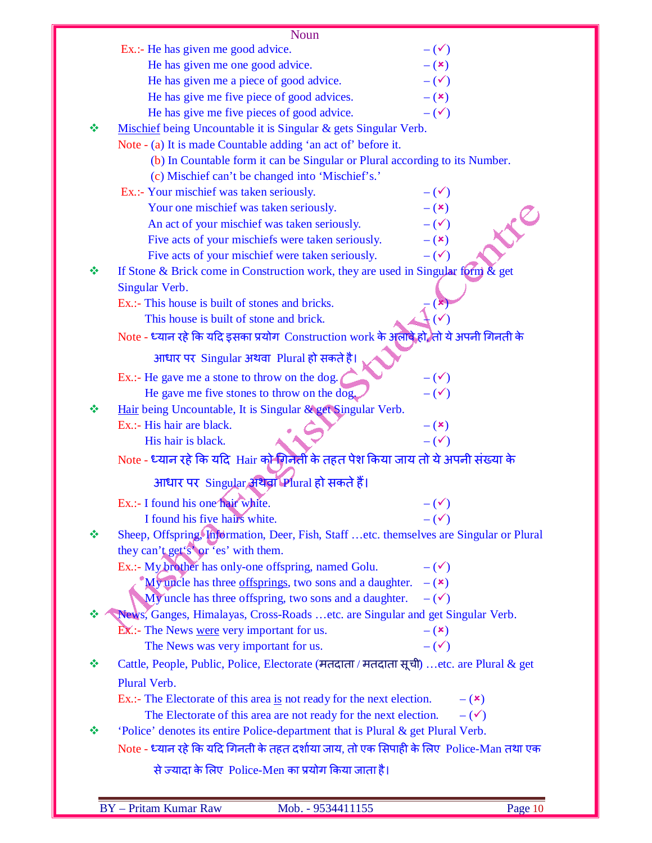|   | <b>Noun</b>                                                                                                       |                                |
|---|-------------------------------------------------------------------------------------------------------------------|--------------------------------|
|   | Ex.:- He has given me good advice.                                                                                | $-(\checkmark)$                |
|   | He has given me one good advice.                                                                                  | $- (x)$                        |
|   | He has given me a piece of good advice.                                                                           | $-(\checkmark)$                |
|   | He has give me five piece of good advices.                                                                        | $-$ ( $\mathbf{x})$            |
|   | He has give me five pieces of good advice.                                                                        | $-(\checkmark)$                |
| ❖ | Mischief being Uncountable it is Singular & gets Singular Verb.                                                   |                                |
|   | Note - (a) It is made Countable adding 'an act of' before it.                                                     |                                |
|   | (b) In Countable form it can be Singular or Plural according to its Number.                                       |                                |
|   | (c) Mischief can't be changed into 'Mischief's.'                                                                  |                                |
|   | Ex.:- Your mischief was taken seriously.                                                                          | $-(\checkmark)$                |
|   | Your one mischief was taken seriously.                                                                            | $-$ ( $\mathbf{x})$            |
|   | An act of your mischief was taken seriously.                                                                      | $-(\checkmark)$                |
|   | Five acts of your mischiefs were taken seriously.                                                                 | $-$ ( $\mathbf{x})$            |
|   | Five acts of your mischief were taken seriously.                                                                  | $ (\checkmark)$                |
| ❖ | If Stone & Brick come in Construction work, they are used in Singular form $\&$ get                               |                                |
|   | Singular Verb.                                                                                                    |                                |
|   | Ex.:- This house is built of stones and bricks.                                                                   |                                |
|   | This house is built of stone and brick.                                                                           |                                |
|   | Note - ध्यान रहे कि यदि इसका प्रयोग Construction work के अलावे हो ,तो ये अपनी गिनती के                            |                                |
|   | आधार पर Singular अथवा Plural हो सकते है।                                                                          |                                |
|   | Ex.:- He gave me a stone to throw on the dog.                                                                     | $-(\checkmark)$                |
|   | He gave me five stones to throw on the dog.                                                                       | $-(\checkmark)$                |
| ❖ | Hair being Uncountable, It is Singular & get Singular Verb.                                                       |                                |
|   | Ex.:- His hair are black.                                                                                         | $-$ ( $\mathbf{x})$            |
|   | His hair is black.                                                                                                | $-(\checkmark)$                |
|   | Note - ध्यान रहे कि यदि  Hair को गिनेती के तहत पेश किया जाय तो ये अपनी संख्या के                                  |                                |
|   | आधार पर Singular अथवा Plural हो सकते हैं।                                                                         |                                |
|   |                                                                                                                   |                                |
|   | Ex.:- I found his one hair white.                                                                                 | $-(\checkmark)$                |
|   | I found his five hairs white.                                                                                     | $-(\checkmark)$                |
| ❖ | Sheep, Offspring, Information, Deer, Fish, Staff etc. themselves are Singular or Plural                           |                                |
|   | they can't get's or 'es' with them.                                                                               |                                |
|   | Ex.:- My brother has only-one offspring, named Golu.                                                              | $-(\checkmark)$                |
|   | My uncle has three offsprings, two sons and a daughter.<br>My uncle has three offspring, two sons and a daughter. | $ (x)$<br>$-$ ( $\checkmark$ ) |
|   |                                                                                                                   |                                |
| ❖ | News, Ganges, Himalayas, Cross-Roads etc. are Singular and get Singular Verb.                                     |                                |
|   | <b>EX</b> :- The News were very important for us.                                                                 | $-$ ( $\mathbf{x}$ )           |
|   | The News was very important for us.                                                                               | $-$ ( $\checkmark$ )           |
| ❖ | Cattle, People, Public, Police, Electorate (मतदाता / मतदाता सूची) etc. are Plural & get                           |                                |
|   | Plural Verb.                                                                                                      |                                |
|   | Ex.:- The Electorate of this area is not ready for the next election.                                             | $ (x)$                         |
|   | The Electorate of this area are not ready for the next election.                                                  | $-(\checkmark)$                |
| ❖ | 'Police' denotes its entire Police-department that is Plural & get Plural Verb.                                   |                                |
|   | Note - ध्यान रहे कि यदि गिनती के तहत दर्शाया जाय, तो एक सिपाही के लिए  Police-Man तथा एक                          |                                |
|   | से ज्यादा के लिए Police-Men का प्रयोग किया जाता है।                                                               |                                |
|   |                                                                                                                   |                                |
|   | <b>BY</b> - Pritam Kumar Raw<br>Mob. - 9534411155                                                                 | Page 10                        |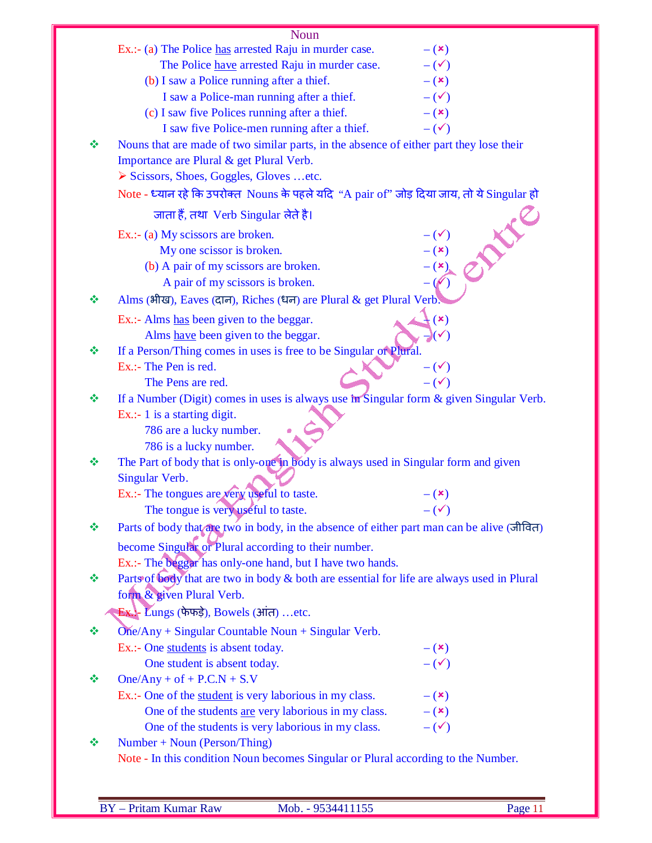|   | <b>Noun</b>                                                                                |                      |
|---|--------------------------------------------------------------------------------------------|----------------------|
|   | Ex.:- (a) The Police has arrested Raju in murder case.                                     | $- (x)$              |
|   | The Police have arrested Raju in murder case.                                              | $-(\checkmark)$      |
|   | (b) I saw a Police running after a thief.                                                  | $-$ ( $\mathbf{x})$  |
|   | I saw a Police-man running after a thief.                                                  | $-(\checkmark)$      |
|   | (c) I saw five Polices running after a thief.                                              | $-$ ( $\mathbf{x})$  |
|   | I saw five Police-men running after a thief.                                               | $-(\checkmark)$      |
| ❖ | Nouns that are made of two similar parts, in the absence of either part they lose their    |                      |
|   | Importance are Plural & get Plural Verb.                                                   |                      |
|   | Scissors, Shoes, Goggles, Gloves etc.                                                      |                      |
|   |                                                                                            |                      |
|   | Note - ध्यान रहे कि उपरोक्त Nouns के पहले यदि "A pair of" जोड़ दिया जाय, तो ये Singular हो |                      |
|   | जाता हैं, तथा Verb Singular लेते है।                                                       | INE                  |
|   | Ex.: (a) My scissors are broken.                                                           |                      |
|   | My one scissor is broken.                                                                  | $(\star)$            |
|   | (b) A pair of my scissors are broken.                                                      |                      |
|   | A pair of my scissors is broken.                                                           |                      |
| ❖ | Alms (भीख), Eaves (दान), Riches (धन) are Plural & get Plural Verb                          |                      |
|   | Ex.:- Alms has been given to the beggar.                                                   | $(\mathbf{x})$       |
|   | Alms have been given to the beggar.                                                        |                      |
| 豪 | If a Person/Thing comes in uses is free to be Singular or Plural.                          |                      |
|   | Ex.:- The Pen is red.                                                                      | $-(\checkmark)$      |
|   | The Pens are red.                                                                          | $ (\checkmark)$      |
| 豪 | If a Number (Digit) comes in uses is always use in Singular form & given Singular Verb.    |                      |
|   | Ex.:- 1 is a starting digit.                                                               |                      |
|   | 786 are a lucky number.                                                                    |                      |
|   | 786 is a lucky number.                                                                     |                      |
| ❖ | The Part of body that is only-one in body is always used in Singular form and given        |                      |
|   | Singular Verb.                                                                             |                      |
|   | Ex.:- The tongues are very useful to taste.                                                | $- (x)$              |
|   | The tongue is very useful to taste.                                                        | $-(\checkmark)$      |
| ❖ | Parts of body that are two in body, in the absence of either part man can be alive (जीवित) |                      |
|   | become Singular or Plural according to their number.                                       |                      |
|   | Ex.:- The beggar has only-one hand, but I have two hands.                                  |                      |
| ❖ | Parts of body that are two in body & both are essential for life are always used in Plural |                      |
|   | form & given Plural Verb.                                                                  |                      |
|   | $\mathbf{E}$ . $\mathbf{L}$ ungs (फेफड़े), Bowels (आंत) etc.                               |                      |
| 豪 | $One/Any + Singular Countable Noun + Singular Verb.$                                       |                      |
|   | Ex.:- One students is absent today.                                                        | $-({\bf x})$         |
|   | One student is absent today.                                                               | $-(\checkmark)$      |
| ❖ | $One/Any + of + P.C.N + S.V$                                                               |                      |
|   | Ex.:- One of the student is very laborious in my class.                                    | $ (x)$               |
|   | One of the students are very laborious in my class.                                        | $-$ ( $\mathbf{x}$ ) |
|   | One of the students is very laborious in my class.                                         | $-(\checkmark)$      |
| ❖ | Number + Noun (Person/Thing)                                                               |                      |
|   | Note - In this condition Noun becomes Singular or Plural according to the Number.          |                      |
|   |                                                                                            |                      |

E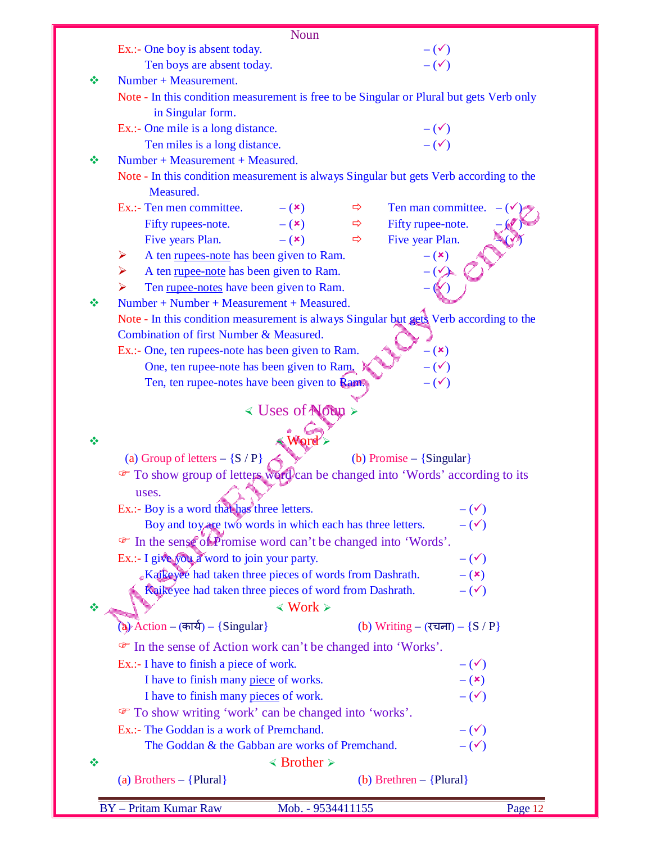|        |                                                                                          | Noun                                     |               |                                                                                                                         |  |
|--------|------------------------------------------------------------------------------------------|------------------------------------------|---------------|-------------------------------------------------------------------------------------------------------------------------|--|
|        | Ex.:- One boy is absent today.                                                           |                                          |               | $-(\checkmark)$<br>$-(\checkmark)$                                                                                      |  |
|        | Ten boys are absent today.                                                               |                                          |               |                                                                                                                         |  |
| ❖      | Number + Measurement.                                                                    |                                          |               |                                                                                                                         |  |
|        | Note - In this condition measurement is free to be Singular or Plural but gets Verb only |                                          |               |                                                                                                                         |  |
|        | in Singular form.                                                                        |                                          |               |                                                                                                                         |  |
|        | Ex.:- One mile is a long distance.                                                       |                                          |               |                                                                                                                         |  |
|        | Ten miles is a long distance.                                                            |                                          |               | $-(\checkmark)$<br>$-(\checkmark)$                                                                                      |  |
| ❖      | Number + Measurement + Measured.                                                         |                                          |               |                                                                                                                         |  |
|        | Measured.                                                                                |                                          |               | Note - In this condition measurement is always Singular but gets Verb according to the                                  |  |
|        | Ex.:- Ten men committee.                                                                 | $-$ ( $\mathbf{x}$ )                     | $\Rightarrow$ | Ten man committee.                                                                                                      |  |
|        | Fifty rupees-note.                                                                       | $-\left( \mathbf{x}\right)$              | $\Rightarrow$ | Fifty rupee-note.                                                                                                       |  |
|        | Five years Plan.                                                                         | $ (x)$                                   | $\Rightarrow$ | Five year Plan.                                                                                                         |  |
|        | A ten rupees-note has been given to Ram.<br>➤                                            |                                          |               | $-$ ( $\mathbf{x})$                                                                                                     |  |
|        | A ten rupee-note has been given to Ram.<br>➤                                             |                                          |               |                                                                                                                         |  |
|        | Ten rupee-notes have been given to Ram.<br>➤                                             |                                          |               |                                                                                                                         |  |
| 豪      | Number + Number + Measurement + Measured.                                                |                                          |               |                                                                                                                         |  |
|        |                                                                                          |                                          |               | Note - In this condition measurement is always Singular but gets Verb according to the                                  |  |
|        | Combination of first Number & Measured.                                                  |                                          |               |                                                                                                                         |  |
|        | Ex.:- One, ten rupees-note has been given to Ram.                                        |                                          |               | $- (x)$                                                                                                                 |  |
|        | One, ten rupee-note has been given to Ram.                                               |                                          |               | $-(\checkmark)$                                                                                                         |  |
|        | Ten, ten rupee-notes have been given to <b>Ram.</b>                                      |                                          |               | $-(\checkmark)$                                                                                                         |  |
|        |                                                                                          |                                          |               |                                                                                                                         |  |
|        |                                                                                          | < Uses of Noun >                         |               |                                                                                                                         |  |
|        |                                                                                          |                                          |               |                                                                                                                         |  |
|        |                                                                                          | $\triangle$ Word                         |               |                                                                                                                         |  |
|        |                                                                                          |                                          |               |                                                                                                                         |  |
|        | (a) Group of letters $-$ {S / P}                                                         |                                          |               | (b) Promise $-$ {Singular}                                                                                              |  |
|        |                                                                                          |                                          |               | To show group of letters word can be changed into 'Words' according to its                                              |  |
|        | uses.                                                                                    |                                          |               |                                                                                                                         |  |
|        | Ex.:- Boy is a word that has three letters.                                              |                                          |               | $-(\checkmark)$                                                                                                         |  |
|        | Boy and toy are two words in which each has three letters.                               |                                          |               | $-(\checkmark)$                                                                                                         |  |
|        | The sense of Promise word can't be changed into 'Words'.                                 |                                          |               |                                                                                                                         |  |
|        | Ex.:- I give you a word to join your party.                                              |                                          |               | $-(\checkmark)$                                                                                                         |  |
|        | Kaikeyee had taken three pieces of words from Dashrath.                                  |                                          |               | $ (x)$                                                                                                                  |  |
|        | Raikeyee had taken three pieces of word from Dashrath.                                   |                                          |               | $-(\checkmark)$                                                                                                         |  |
|        |                                                                                          | $\langle$ Work $\rangle$                 |               |                                                                                                                         |  |
|        | (a) Action - (कार्य) - {Singular}                                                        |                                          |               | (b) Writing – $(\overline{\mathsf{t}} \overline{\mathsf{u}} \overline{\mathsf{d}} \overline{\mathsf{d}})$ – $\{S / P\}$ |  |
|        | • In the sense of Action work can't be changed into 'Works'.                             |                                          |               |                                                                                                                         |  |
|        | Ex.:- I have to finish a piece of work.                                                  |                                          |               | $-(\checkmark)$                                                                                                         |  |
|        | I have to finish many piece of works.                                                    |                                          |               | $- (x)$                                                                                                                 |  |
|        | I have to finish many pieces of work.                                                    |                                          |               | $-(\checkmark)$                                                                                                         |  |
|        |                                                                                          |                                          |               |                                                                                                                         |  |
|        | To show writing 'work' can be changed into 'works'.                                      |                                          |               |                                                                                                                         |  |
|        | Ex.:- The Goddan is a work of Premchand.                                                 |                                          |               | $-(\checkmark)$                                                                                                         |  |
| ❖<br>❖ | The Goddan & the Gabban are works of Premchand.                                          |                                          |               | $-(\checkmark)$                                                                                                         |  |
| ❖      | (a) Brothers $-$ {Plural}                                                                | $\triangleleft$ Brother $\triangleright$ |               | (b) Brethren $-$ {Plural}                                                                                               |  |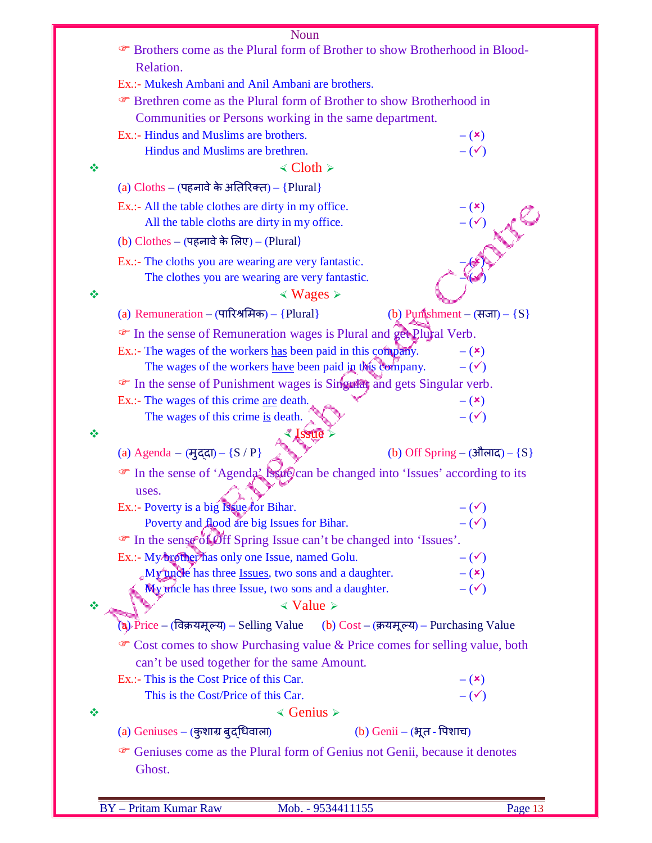|   | Noun<br><sup>®</sup> Brothers come as the Plural form of Brother to show Brotherhood in Blood- |                                            |  |  |  |
|---|------------------------------------------------------------------------------------------------|--------------------------------------------|--|--|--|
|   | Relation.                                                                                      |                                            |  |  |  |
|   | Ex.:- Mukesh Ambani and Anil Ambani are brothers.                                              |                                            |  |  |  |
|   | <b>Example 3</b> Frethren come as the Plural form of Brother to show Brotherhood in            |                                            |  |  |  |
|   | Communities or Persons working in the same department.                                         |                                            |  |  |  |
|   | Ex.:- Hindus and Muslims are brothers.                                                         | $ (x)$                                     |  |  |  |
|   | Hindus and Muslims are brethren.                                                               | $-(\checkmark)$                            |  |  |  |
| ≪ | $\triangleleft$ Cloth $\triangleright$                                                         |                                            |  |  |  |
|   | (a) $Cloths - (45)$ नावे के अतिरिक्त) - {Plural}                                               |                                            |  |  |  |
|   | Ex.:- All the table clothes are dirty in my office.                                            |                                            |  |  |  |
|   | All the table cloths are dirty in my office.                                                   |                                            |  |  |  |
|   | (b) $Clothers - (45)$ नावे के लिए) - (Plural)                                                  |                                            |  |  |  |
|   | Ex.:- The cloths you are wearing are very fantastic.                                           |                                            |  |  |  |
|   | The clothes you are wearing are very fantastic.                                                |                                            |  |  |  |
| ❖ | $\leq$ Wages $\geq$                                                                            |                                            |  |  |  |
|   | (a) Remuneration – $(\text{Tr}(\mathbf{R}) + \{ \text{Plural} \})$                             | (b) Punshment – $(\overline{HJJ}) - \{S\}$ |  |  |  |
|   |                                                                                                |                                            |  |  |  |
|   | • In the sense of Remuneration wages is Plural and get Plural Verb.                            |                                            |  |  |  |
|   | Ex.:- The wages of the workers has been paid in this company.                                  | $ (x)$                                     |  |  |  |
|   | The wages of the workers have been paid in this company.                                       | $-(\checkmark)$                            |  |  |  |
|   | • In the sense of Punishment wages is Singular and gets Singular verb.                         |                                            |  |  |  |
|   | Ex.:- The wages of this crime <u>are</u> death.                                                | $ (x)$<br>$-(\checkmark)$                  |  |  |  |
|   | The wages of this crime is death.<br><b><i><u>Alssue</u></i></b>                               |                                            |  |  |  |
|   | (a) Agenda - (मुद्दा) - {S / P}                                                                | (b) Off Spring – (औलाद) – $\{S\}$          |  |  |  |
|   |                                                                                                |                                            |  |  |  |
|   | The sense of 'Agenda' Issue) can be changed into 'Issues' according to its                     |                                            |  |  |  |
|   | uses.                                                                                          |                                            |  |  |  |
|   | Ex.:- Poverty is a big Issue for Bihar.                                                        | $-(\checkmark)$                            |  |  |  |
|   | Poverty and flood are big Issues for Bihar.                                                    | $-(\checkmark)$                            |  |  |  |
|   | • In the sense of Off Spring Issue can't be changed into 'Issues'.                             |                                            |  |  |  |
|   | Ex.:- My brother has only one Issue, named Golu.                                               | $-(\checkmark)$                            |  |  |  |
|   | My uncle has three Issues, two sons and a daughter.                                            | $ (x)$<br>$-(\checkmark)$                  |  |  |  |
|   | My uncle has three Issue, two sons and a daughter.<br>$\triangleleft$ Value $\triangleright$   |                                            |  |  |  |
|   |                                                                                                |                                            |  |  |  |
|   | (a) Price - (विक्रयमूल्य) - Selling Value (b) Cost - (क्रयमूल्य) - Purchasing Value            |                                            |  |  |  |
|   | • Cost comes to show Purchasing value & Price comes for selling value, both                    |                                            |  |  |  |
|   | can't be used together for the same Amount.                                                    |                                            |  |  |  |
|   | Ex.:- This is the Cost Price of this Car.                                                      | $-({\bf x})$                               |  |  |  |
|   | This is the Cost/Price of this Car.                                                            | $-$ ( $\checkmark$ )                       |  |  |  |
| ❖ | $\triangleleft$ Genius $\triangleright$                                                        |                                            |  |  |  |
|   | $(a)$ Geniuses – (कुशाग्र बुद्धिवाला)<br>(b) Genii – (भूत - पिशाच)                             |                                            |  |  |  |
|   | <sup>T</sup> Geniuses come as the Plural form of Genius not Genii, because it denotes          |                                            |  |  |  |
|   | Ghost.                                                                                         |                                            |  |  |  |
|   |                                                                                                |                                            |  |  |  |
|   |                                                                                                |                                            |  |  |  |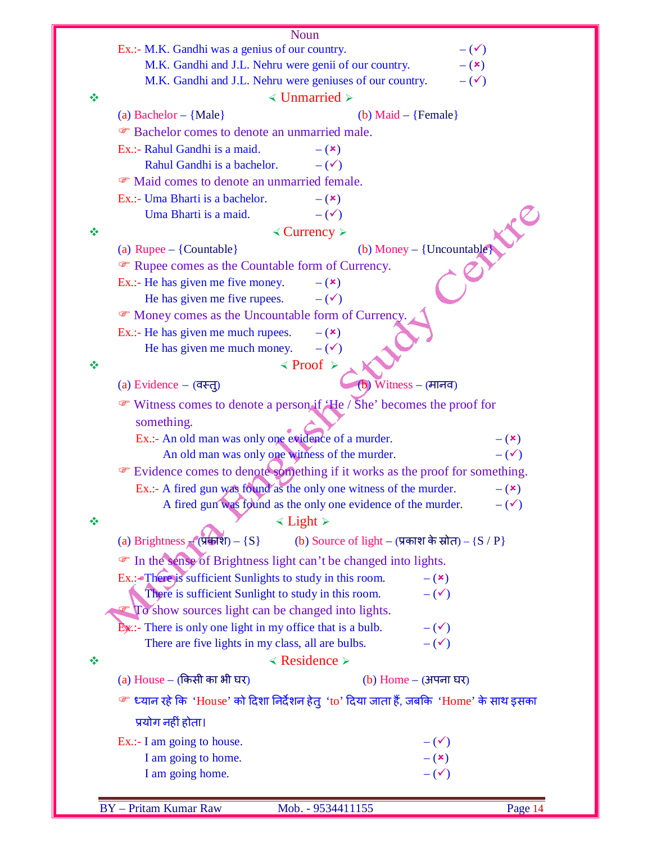| Ex.:- M.K. Gandhi was a genius of our country.               | <b>Noun</b>                                                                                          |                                        |
|--------------------------------------------------------------|------------------------------------------------------------------------------------------------------|----------------------------------------|
| M.K. Gandhi and J.L. Nehru were genii of our country.        |                                                                                                      | $-(\checkmark)$<br>$-$ ( $\mathbf{x})$ |
| M.K. Gandhi and J.L. Nehru were geniuses of our country.     |                                                                                                      | $-(\checkmark)$                        |
| ❖                                                            | $\triangleleft$ Unmarried $\triangleright$                                                           |                                        |
| (a) Bachelor $-$ {Male}                                      | (b) Maid $-$ {Female}                                                                                |                                        |
| <b>Example 3</b> Bachelor comes to denote an unmarried male. |                                                                                                      |                                        |
|                                                              |                                                                                                      |                                        |
| Ex.:- Rahul Gandhi is a maid.                                | $-$ ( $\mathbf{x})$                                                                                  |                                        |
| Rahul Gandhi is a bachelor.                                  | $-(\checkmark)$                                                                                      |                                        |
| • Maid comes to denote an unmarried female.                  |                                                                                                      |                                        |
| Ex.:- Uma Bharti is a bachelor.                              | $-$ ( $\mathbf{x})$                                                                                  |                                        |
| Uma Bharti is a maid.                                        | $-(\checkmark)$                                                                                      |                                        |
| ❖                                                            | $\triangle$ Currency $\triangleright$                                                                |                                        |
| (a) Rupee $-$ {Countable}                                    | (b) Money $-$ {Uncountable}                                                                          |                                        |
| The Rupee comes as the Countable form of Currency.           |                                                                                                      |                                        |
| Ex.:- He has given me five money.                            | $-$ ( $\mathbf{x})$                                                                                  |                                        |
| He has given me five rupees.                                 | $-$ ( $\checkmark$ )                                                                                 |                                        |
| • Money comes as the Uncountable form of Currency.           |                                                                                                      |                                        |
| Ex.:- He has given me much rupees.                           | $ (x)$                                                                                               |                                        |
| He has given me much money.                                  | $-$ ( $\checkmark$ )                                                                                 |                                        |
| ❖                                                            | $\langle$ Proof $\rangle$                                                                            |                                        |
| (a) Evidence $-$ (वस्तू)                                     | $W$ itness – (मानव)                                                                                  |                                        |
|                                                              | • Witness comes to denote a person if $\angle$ He / She' becomes the proof for                       |                                        |
| something.                                                   |                                                                                                      |                                        |
| Ex.:- An old man was only one evidence of a murder.          |                                                                                                      | $-$ ( $\mathbf{x})$                    |
| An old man was only one withess of the murder.               |                                                                                                      | $-(\checkmark)$                        |
|                                                              | Evidence comes to denote something if it works as the proof for something.                           |                                        |
|                                                              | Ex.:- A fired gun was found as the only one witness of the murder.                                   | $-({\bf x})$                           |
|                                                              | A fired gun was found as the only one evidence of the murder.                                        | $-(\checkmark)$                        |
| 豪                                                            | $\leq$ Light $\geq$                                                                                  |                                        |
| (a) Brightness $\mathbb{F}(\overline{\mathbf{y}}) - \{S\}$   | (b) Source of light – (प्रकाश के स्रोत) – {S / P}                                                    |                                        |
| The sense of Brightness light can't be changed into lights.  |                                                                                                      |                                        |
| Ex.:- There is sufficient Sunlights to study in this room.   | $ (x)$                                                                                               |                                        |
| There is sufficient Sunlight to study in this room.          | $-(\checkmark)$                                                                                      |                                        |
| To show sources light can be changed into lights.            |                                                                                                      |                                        |
| Ex:- There is only one light in my office that is a bulb.    | $-(\checkmark)$                                                                                      |                                        |
| There are five lights in my class, all are bulbs.            | $-$ ( $\checkmark$ )                                                                                 |                                        |
| ❖                                                            | $\triangleleft$ Residence $\triangleright$                                                           |                                        |
| (a) House – (किसी का भी घर)                                  | (b) Home – (अपना घर)                                                                                 |                                        |
|                                                              | <sup>சை</sup> ध्यान रहे कि 'House' को दिशा निर्देशन हेतु 'to' दिया जाता हैं, जबकि 'Home' के साथ इसका |                                        |
|                                                              |                                                                                                      |                                        |
| प्रयोग नहीं होता।                                            |                                                                                                      |                                        |
| Ex.:- I am going to house.                                   | $-(\checkmark)$                                                                                      |                                        |
| I am going to home.                                          | $- (x)$                                                                                              |                                        |
| I am going home.                                             | $-(\checkmark)$                                                                                      |                                        |
|                                                              |                                                                                                      |                                        |
| <b>BY</b> - Pritam Kumar Raw                                 | Mob. - 9534411155                                                                                    | Page 14                                |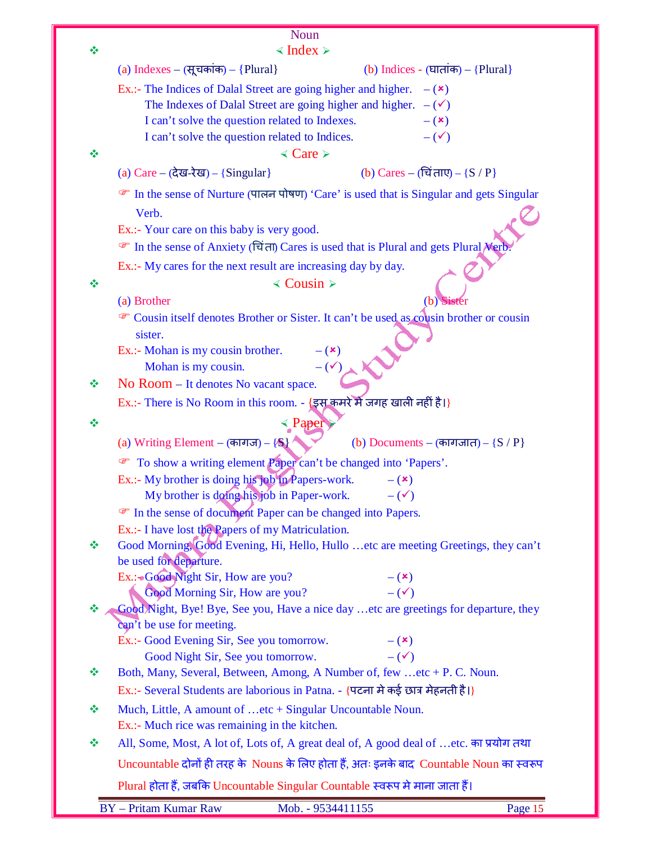|    | <b>Noun</b>                                                                                                   |  |  |  |  |  |
|----|---------------------------------------------------------------------------------------------------------------|--|--|--|--|--|
| ❖  | $\triangleleft$ Index $\triangleright$                                                                        |  |  |  |  |  |
|    | (a) Indexes – (सूचकांक) – {Plural}<br>(b) Indices - $(\overline{u}\pi\overline{m}) - {Plural}$                |  |  |  |  |  |
|    | Ex.:- The Indices of Dalal Street are going higher and higher.<br>$ (x)$                                      |  |  |  |  |  |
|    | The Indexes of Dalal Street are going higher and higher.<br>$-(\checkmark)$                                   |  |  |  |  |  |
|    | I can't solve the question related to Indexes.<br>$ (x)$                                                      |  |  |  |  |  |
|    | I can't solve the question related to Indices.<br>$-$ ( $\checkmark$ )                                        |  |  |  |  |  |
| ❖  | $\triangleleft$ Care $\triangleright$                                                                         |  |  |  |  |  |
|    | (b) Cares – (चिं ताए) – ${S / P}$<br>(a) $Care - (à@-λ@) - {Singular}$                                        |  |  |  |  |  |
|    | • In the sense of Nurture (पालन पोषण) 'Care' is used that is Singular and gets Singular                       |  |  |  |  |  |
|    | Verb.                                                                                                         |  |  |  |  |  |
|    | Ex.:- Your care on this baby is very good.                                                                    |  |  |  |  |  |
|    | <b>■</b> In the sense of Anxiety (चिंता) Cares is used that is Plural and gets Plural Nerb                    |  |  |  |  |  |
|    | Ex.:- My cares for the next result are increasing day by day.                                                 |  |  |  |  |  |
| ❖  | $\triangleleft$ Cousin ≻                                                                                      |  |  |  |  |  |
|    | (a) Brother<br>$\mathbf{b}$                                                                                   |  |  |  |  |  |
|    | Cousin itself denotes Brother or Sister. It can't be used as cousin brother or cousin                         |  |  |  |  |  |
|    | sister.                                                                                                       |  |  |  |  |  |
|    | Ex.:- Mohan is my cousin brother.<br>$-({\bf x})$                                                             |  |  |  |  |  |
|    | $-(\checkmark)$<br>Mohan is my cousin.                                                                        |  |  |  |  |  |
| ∙  | No Room – It denotes No vacant space.                                                                         |  |  |  |  |  |
|    | Ex.:- There is No Room in this room. - {इस कमरे में जगह खाली नहीं है।}                                        |  |  |  |  |  |
| ÷  | «Paper                                                                                                        |  |  |  |  |  |
|    | (a) Writing Element – (कागज) – $\{S\}$<br>(b) Documents – (कागजात) – ${S / P}$                                |  |  |  |  |  |
|    | To show a writing element Paper can't be changed into 'Papers'.                                               |  |  |  |  |  |
|    | Ex.:- My brother is doing his job in Papers-work.<br>$ (x)$                                                   |  |  |  |  |  |
|    | My brother is doing his job in Paper-work.<br>$-(\checkmark)$                                                 |  |  |  |  |  |
|    | The sense of document Paper can be changed into Papers.                                                       |  |  |  |  |  |
|    | Ex.:- I have lost the Papers of my Matriculation.                                                             |  |  |  |  |  |
| ❖  | Good Morning, Good Evening, Hi, Hello, Hullo  etc are meeting Greetings, they can't                           |  |  |  |  |  |
|    | be used for departure.                                                                                        |  |  |  |  |  |
|    | Ex.: Good Night Sir, How are you?<br>$ (x)$                                                                   |  |  |  |  |  |
|    | $-$ ( $\checkmark$ )<br>Good Morning Sir, How are you?                                                        |  |  |  |  |  |
| ÷. | Good Night, Bye! Bye, See you, Have a nice day  etc are greetings for departure, they                         |  |  |  |  |  |
|    | can't be use for meeting.                                                                                     |  |  |  |  |  |
|    | Ex.:- Good Evening Sir, See you tomorrow.<br>$ (x)$<br>$-$ ( $\checkmark$ )                                   |  |  |  |  |  |
| ❖  | Good Night Sir, See you tomorrow.<br>Both, Many, Several, Between, Among, A Number of, few  etc + P. C. Noun. |  |  |  |  |  |
|    | Ex.:- Several Students are laborious in Patna. - {पटना मे कई छात्र मेहनती है।}                                |  |  |  |  |  |
|    |                                                                                                               |  |  |  |  |  |
| ❖  | Much, Little, A amount of etc + Singular Uncountable Noun.<br>Ex.:- Much rice was remaining in the kitchen.   |  |  |  |  |  |
| ❖  | All, Some, Most, A lot of, Lots of, A great deal of, A good deal of etc. का प्रयोग तथा                        |  |  |  |  |  |
|    | Uncountable दोनों ही तरह के Nouns के लिए होता हैं, अतः इनके बाद Countable Noun का स्वरूप                      |  |  |  |  |  |
|    | Plural होता हैं, जबकि Uncountable Singular Countable स्वरूप मे माना जाता हैं।                                 |  |  |  |  |  |
|    |                                                                                                               |  |  |  |  |  |
|    | BY - Pritam Kumar Raw<br>Mob. - 9534411155<br>Page 15                                                         |  |  |  |  |  |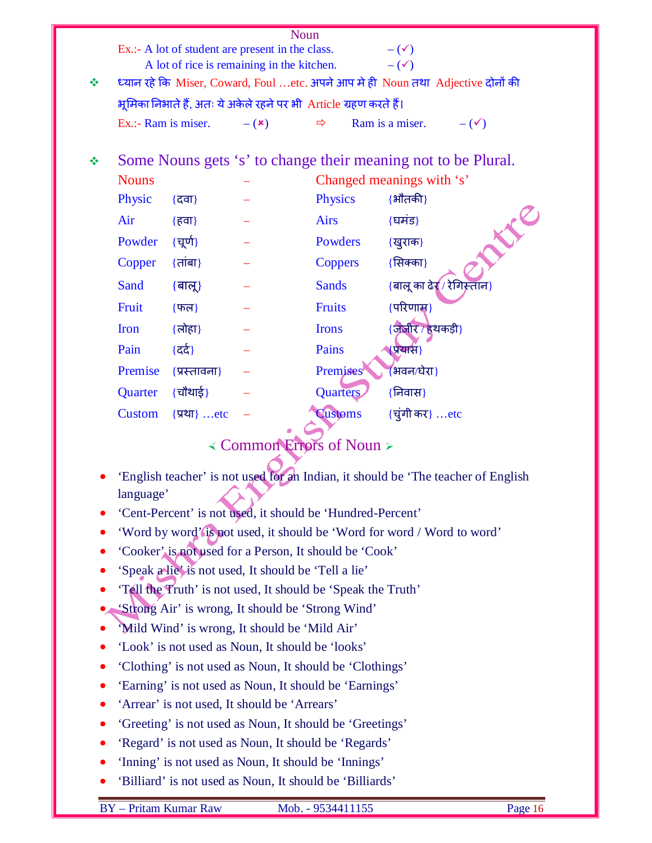| Noun<br>Ex.:- A lot of student are present in the class.<br>$-(\checkmark)$<br>A lot of rice is remaining in the kitchen.<br>$-$ ( $\checkmark$ ) |                                                                         |                 |                                                              |                |                                                                                 |  |
|---------------------------------------------------------------------------------------------------------------------------------------------------|-------------------------------------------------------------------------|-----------------|--------------------------------------------------------------|----------------|---------------------------------------------------------------------------------|--|
| ❖                                                                                                                                                 |                                                                         |                 |                                                              |                | ध्यान रहे कि Miser, Coward, Foul etc. अपने आप मे ही Noun तथा Adjective दोनों की |  |
|                                                                                                                                                   | भूमिका निभाते हैं, अतः ये अकेले रहने पर भी  Article ग्रहण करते हैं।     |                 |                                                              |                |                                                                                 |  |
|                                                                                                                                                   | Ex.:- Ram is miser.                                                     |                 | $- (x)$                                                      | ⇨              | Ram is a miser.<br>$-(\checkmark)$                                              |  |
| ❖                                                                                                                                                 | Some Nouns gets 's' to change their meaning not to be Plural.           |                 |                                                              |                |                                                                                 |  |
|                                                                                                                                                   | <b>Nouns</b>                                                            |                 |                                                              |                | Changed meanings with 's'                                                       |  |
|                                                                                                                                                   | Physic                                                                  | {दवा}           |                                                              | <b>Physics</b> | $\{$ भौतकी}                                                                     |  |
|                                                                                                                                                   | Air                                                                     | {हवा}           |                                                              | <b>Airs</b>    | {घमंड}                                                                          |  |
|                                                                                                                                                   | Powder                                                                  | {चूर्ण}         |                                                              | Powders        | LIC<br>{खुराक}                                                                  |  |
|                                                                                                                                                   | Copper                                                                  | $\{$ तांबा $\}$ |                                                              | <b>Coppers</b> | {सिक्का}                                                                        |  |
|                                                                                                                                                   | Sand                                                                    | $\{$ बालू $\}$  |                                                              | <b>Sands</b>   | {बालू का ढेर्⁄ / रेगिस्तान}                                                     |  |
|                                                                                                                                                   | Fruit                                                                   | $\{$ फल}        |                                                              | <b>Fruits</b>  | {परिणाम्न}                                                                      |  |
|                                                                                                                                                   | Iron                                                                    | {लोहा}          |                                                              | <b>Irons</b>   | {जीबीर / हथकड़ी}                                                                |  |
|                                                                                                                                                   | Pain                                                                    | {दर्द}          |                                                              | Pains          | <u>(प्रयास)</u>                                                                 |  |
|                                                                                                                                                   | Premise                                                                 | {प्रस्तावना}    |                                                              | Premises       | भवन/घेरा}                                                                       |  |
|                                                                                                                                                   | Quarter                                                                 | $\{$ चौथाई}     |                                                              | Quarters       | {निवास}                                                                         |  |
|                                                                                                                                                   | <b>Custom</b>                                                           | {प्रथा} etc     |                                                              | <b>Customs</b> | $\{\overrightarrow{\mathbf{q}}$ गी कर} etc                                      |  |
|                                                                                                                                                   | < Common Errors of Noun >                                               |                 |                                                              |                |                                                                                 |  |
| 'English teacher' is not used for an Indian, it should be 'The teacher of English                                                                 |                                                                         |                 |                                                              |                |                                                                                 |  |
| language'                                                                                                                                         |                                                                         |                 |                                                              |                |                                                                                 |  |
| 'Cent-Percent' is not used, it should be 'Hundred-Percent'                                                                                        |                                                                         |                 |                                                              |                |                                                                                 |  |
|                                                                                                                                                   | 'Word by word' is not used, it should be 'Word for word / Word to word' |                 |                                                              |                |                                                                                 |  |
|                                                                                                                                                   | 'Cooker' is not used for a Person, It should be 'Cook'                  |                 |                                                              |                |                                                                                 |  |
|                                                                                                                                                   | 'Speak a lie' is not used, It should be 'Tell a lie'                    |                 |                                                              |                |                                                                                 |  |
|                                                                                                                                                   |                                                                         |                 | 'Tell the Truth' is not used, It should be 'Speak the Truth' |                |                                                                                 |  |
|                                                                                                                                                   | 'Strong Air' is wrong, It should be 'Strong Wind'                       |                 |                                                              |                |                                                                                 |  |
|                                                                                                                                                   | 'Mild Wind' is wrong, It should be 'Mild Air'                           |                 |                                                              |                |                                                                                 |  |

- 'Look' is not used as Noun, It should be 'looks'
- 'Clothing' is not used as Noun, It should be 'Clothings'
- 'Earning' is not used as Noun, It should be 'Earnings'
- 'Arrear' is not used, It should be 'Arrears'
- 'Greeting' is not used as Noun, It should be 'Greetings'
- 'Regard' is not used as Noun, It should be 'Regards'
- 'Inning' is not used as Noun, It should be 'Innings'
- 'Billiard' is not used as Noun, It should be 'Billiards'

BY – Pritam Kumar Raw Mob. - 9534411155 Page 16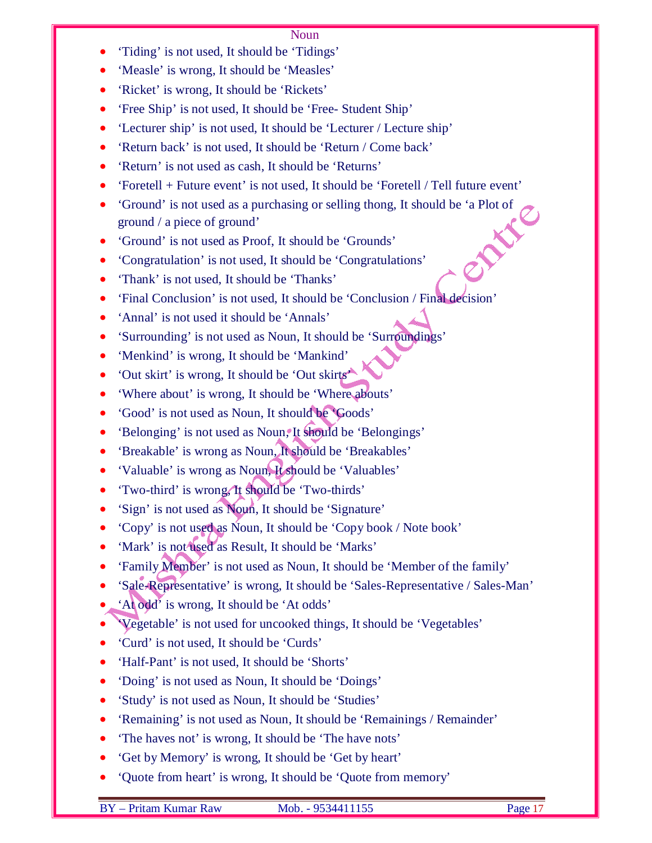- 'Tiding' is not used, It should be 'Tidings'
- 'Measle' is wrong, It should be 'Measles'
- 'Ricket' is wrong, It should be 'Rickets'
- 'Free Ship' is not used, It should be 'Free- Student Ship'
- 'Lecturer ship' is not used, It should be 'Lecturer / Lecture ship'
- 'Return back' is not used, It should be 'Return / Come back'
- 'Return' is not used as cash, It should be 'Returns'
- 'Foretell + Future event' is not used, It should be 'Foretell / Tell future event'
- 'Ground' is not used as a purchasing or selling thong, It should be 'a Plot of ground / a piece of ground'<br>• 'Ground' is not used as Proof, It should be 'Grounds'<br>• 'Congratulation' is ground / a piece of ground'
- 'Ground' is not used as Proof, It should be 'Grounds'
- 'Congratulation' is not used, It should be 'Congratulations'
- 'Thank' is not used, It should be 'Thanks'
- 'Final Conclusion' is not used, It should be 'Conclusion / Final decision'
- 'Annal' is not used it should be 'Annals'
- 'Surrounding' is not used as Noun, It should be 'Surroundings'
- 'Menkind' is wrong, It should be 'Mankind'
- 'Out skirt' is wrong, It should be 'Out skirts'
- 'Where about' is wrong, It should be 'Where abouts'
- 'Good' is not used as Noun, It should be 'Goods'
- 'Belonging' is not used as Noun, It should be 'Belongings'
- 'Breakable' is wrong as Noun, It should be 'Breakables'
- 'Valuable' is wrong as Noun, It should be 'Valuables'
- 'Two-third' is wrong, It should be 'Two-thirds'
- 'Sign' is not used as Noun, It should be 'Signature'
- 'Copy' is not used as Noun, It should be 'Copy book / Note book'
- 'Mark' is not used as Result, It should be 'Marks'
- 'Family Member' is not used as Noun, It should be 'Member of the family'
- 'Sale-Representative' is wrong, It should be 'Sales-Representative / Sales-Man'
- 'At odd' is wrong, It should be 'At odds'
- 'Vegetable' is not used for uncooked things, It should be 'Vegetables'
- 'Curd' is not used, It should be 'Curds'
- 'Half-Pant' is not used, It should be 'Shorts'
- 'Doing' is not used as Noun, It should be 'Doings'
- 'Study' is not used as Noun, It should be 'Studies'
- 'Remaining' is not used as Noun, It should be 'Remainings / Remainder'
- The haves not' is wrong, It should be 'The have nots'
- 'Get by Memory' is wrong, It should be 'Get by heart'
- 'Quote from heart' is wrong, It should be 'Quote from memory'